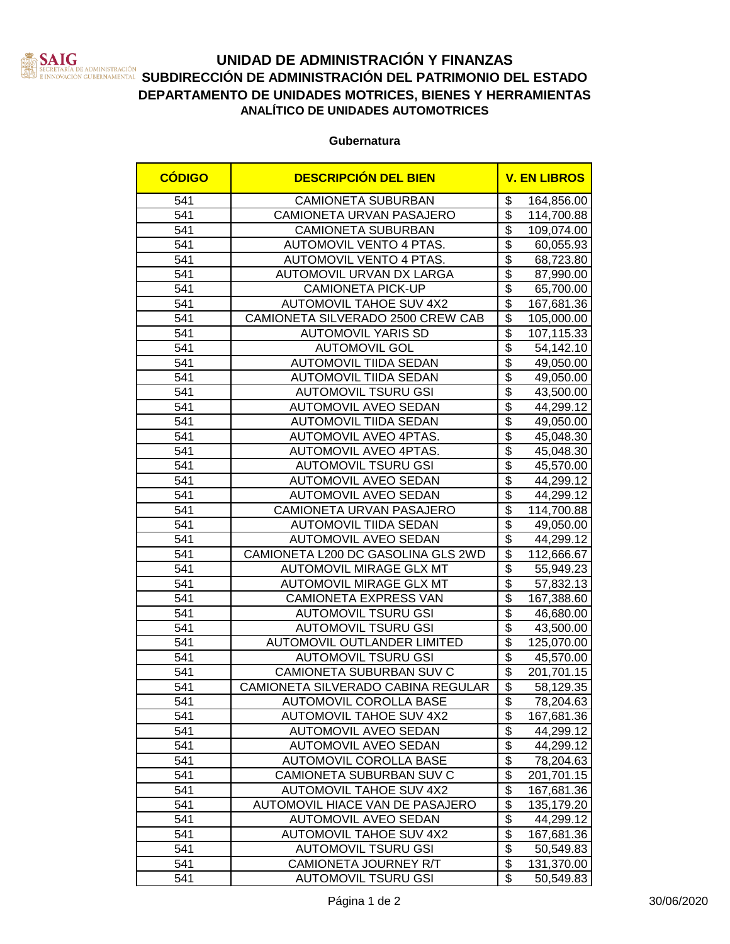

## **UNIDAD DE ADMINISTRACIÓN Y FINANZAS SATIVE DE ADMINISTRACIÓN DE LOS DELS ESTADOS DEL DEL DE LOS DEL ESTADO**<br>Innovación gubernamental SUBDIRECCIÓN DE ADMINISTRACIÓN DEL PATRIMONIO DEL ESTADO **DEPARTAMENTO DE UNIDADES MOTRICES, BIENES Y HERRAMIENTAS ANALÍTICO DE UNIDADES AUTOMOTRICES**

**Gubernatura**

| <b>CÓDIGO</b>    | <b>DESCRIPCIÓN DEL BIEN</b>        |                               | <b>V. EN LIBROS</b> |
|------------------|------------------------------------|-------------------------------|---------------------|
| 541              | <b>CAMIONETA SUBURBAN</b>          | \$                            | 164,856.00          |
| 541              | CAMIONETA URVAN PASAJERO           | $\overline{\$}$               | 114,700.88          |
| 541              | <b>CAMIONETA SUBURBAN</b>          | $\overline{\$}$               | 109,074.00          |
| 541              | AUTOMOVIL VENTO 4 PTAS.            | $\overline{\$}$               | 60,055.93           |
| 541              | AUTOMOVIL VENTO 4 PTAS.            | $\overline{\$}$               | 68,723.80           |
| 541              | AUTOMOVIL URVAN DX LARGA           | $\overline{\$}$               | 87,990.00           |
| 541              | <b>CAMIONETA PICK-UP</b>           | $\overline{\$}$               | 65,700.00           |
| 541              | <b>AUTOMOVIL TAHOE SUV 4X2</b>     | $\overline{\$}$               | 167,681.36          |
| 541              | CAMIONETA SILVERADO 2500 CREW CAB  | $\overline{\$}$               | 105,000.00          |
| 541              | <b>AUTOMOVIL YARIS SD</b>          | $\overline{\mathcal{S}}$      | 107,115.33          |
| 541              | <b>AUTOMOVIL GOL</b>               | $\overline{\$}$               | 54,142.10           |
| 541              | <b>AUTOMOVIL TIIDA SEDAN</b>       | $\overline{\$}$               | 49,050.00           |
| 541              | <b>AUTOMOVIL TIIDA SEDAN</b>       | $\overline{\$}$               | 49,050.00           |
| 541              | <b>AUTOMOVIL TSURU GSI</b>         | $\overline{\mathfrak{s}}$     | 43,500.00           |
| 541              | <b>AUTOMOVIL AVEO SEDAN</b>        | $\overline{\$}$               | 44,299.12           |
| 541              | <b>AUTOMOVIL TIIDA SEDAN</b>       | $\overline{\$}$               | 49,050.00           |
| 541              | AUTOMOVIL AVEO 4PTAS.              | $\overline{\$}$               | 45,048.30           |
| 541              | <b>AUTOMOVIL AVEO 4PTAS.</b>       | $\overline{\$}$               | 45,048.30           |
| 541              | <b>AUTOMOVIL TSURU GSI</b>         | $\overline{\$}$               | 45,570.00           |
| 541              | AUTOMOVIL AVEO SEDAN               | $\overline{\$}$               | 44,299.12           |
| 541              | <b>AUTOMOVIL AVEO SEDAN</b>        | $\overline{\$}$               | 44,299.12           |
| 541              | CAMIONETA URVAN PASAJERO           | \$                            | 114,700.88          |
| 541              | <b>AUTOMOVIL TIIDA SEDAN</b>       | $\overline{\mathbf{S}}$       | 49,050.00           |
| 541              | <b>AUTOMOVIL AVEO SEDAN</b>        | $\overline{\$}$               | 44,299.12           |
| 541              | CAMIONETA L200 DC GASOLINA GLS 2WD | $\overline{\$}$               | 112,666.67          |
| 541              | <b>AUTOMOVIL MIRAGE GLX MT</b>     | $\overline{\$}$               | 55,949.23           |
| 541              | <b>AUTOMOVIL MIRAGE GLX MT</b>     | $\overline{\$}$               | 57,832.13           |
| 541              | CAMIONETA EXPRESS VAN              | $\overline{\$}$               | 167,388.60          |
| 541              | <b>AUTOMOVIL TSURU GSI</b>         | $\overline{\$}$               | 46,680.00           |
| 541              | <b>AUTOMOVIL TSURU GSI</b>         | $\overline{\$}$               | 43,500.00           |
| 541              | <b>AUTOMOVIL OUTLANDER LIMITED</b> | $\overline{\$}$               | 125,070.00          |
| 541              | <b>AUTOMOVIL TSURU GSI</b>         | $\overline{\$}$               | 45,570.00           |
| 541              | CAMIONETA SUBURBAN SUV C           | $\overline{\$}$               | 201,701.15          |
| 541              | CAMIONETA SILVERADO CABINA REGULAR | $\overline{\$}$               | 58,129.35           |
| $\overline{541}$ | AUTOMOVIL COROLLA BASE             | $\hat{\mathbf{P}}$            | 78,204.63           |
| 541              | <b>AUTOMOVIL TAHOE SUV 4X2</b>     | \$                            | 167,681.36          |
| 541              | <b>AUTOMOVIL AVEO SEDAN</b>        | $\overline{\mathcal{S}}$      | 44,299.12           |
| 541              | <b>AUTOMOVIL AVEO SEDAN</b>        | \$                            | 44,299.12           |
| 541              | AUTOMOVIL COROLLA BASE             | \$                            | 78,204.63           |
| 541              | CAMIONETA SUBURBAN SUV C           | $\overline{\$}$               | 201,701.15          |
| 541              | <b>AUTOMOVIL TAHOE SUV 4X2</b>     | $\overline{\mathcal{S}}$      | 167,681.36          |
| 541              | AUTOMOVIL HIACE VAN DE PASAJERO    | $\overline{\mathcal{S}}$      | 135,179.20          |
| 541              | <b>AUTOMOVIL AVEO SEDAN</b>        | $\overline{\mathcal{S}}$      | 44,299.12           |
| 541              | <b>AUTOMOVIL TAHOE SUV 4X2</b>     | $\overline{\mathbf{S}}$       | 167,681.36          |
| 541              | <b>AUTOMOVIL TSURU GSI</b>         | $\overline{\mathfrak{s}}$     | 50,549.83           |
| 541              | CAMIONETA JOURNEY R/T              | $\overline{\mathbf{S}}$<br>\$ | 131,370.00          |
| 541              | <b>AUTOMOVIL TSURU GSI</b>         |                               | 50,549.83           |